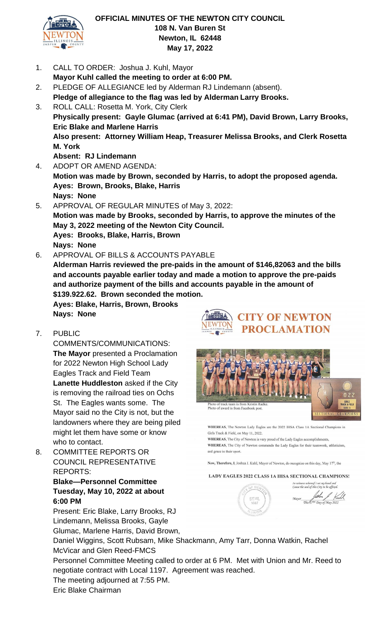

## **OFFICIAL MINUTES OF THE NEWTON CITY COUNCIL 108 N. Van Buren St Newton, IL 62448 May 17, 2022**

- 1. CALL TO ORDER: Joshua J. Kuhl, Mayor **Mayor Kuhl called the meeting to order at 6:00 PM.**
- 2. PLEDGE OF ALLEGIANCE led by Alderman RJ Lindemann (absent). **Pledge of allegiance to the flag was led by Alderman Larry Brooks.**
- 3. ROLL CALL: Rosetta M. York, City Clerk **Physically present: Gayle Glumac (arrived at 6:41 PM), David Brown, Larry Brooks, Eric Blake and Marlene Harris Also present: Attorney William Heap, Treasurer Melissa Brooks, and Clerk Rosetta M. York Absent: RJ Lindemann**
- 4. ADOPT OR AMEND AGENDA: **Motion was made by Brown, seconded by Harris, to adopt the proposed agenda. Ayes: Brown, Brooks, Blake, Harris Nays: None**
- 5. APPROVAL OF REGULAR MINUTES of May 3, 2022: **Motion was made by Brooks, seconded by Harris, to approve the minutes of the May 3, 2022 meeting of the Newton City Council. Ayes: Brooks, Blake, Harris, Brown Nays: None**
- 6. APPROVAL OF BILLS & ACCOUNTS PAYABLE **Alderman Harris reviewed the pre-paids in the amount of \$146,82063 and the bills and accounts payable earlier today and made a motion to approve the pre-paids and authorize payment of the bills and accounts payable in the amount of \$139.922.62. Brown seconded the motion.**

**Ayes: Blake, Harris, Brown, Brooks Nays: None** 

7. PUBLIC

COMMENTS/COMMUNICATIONS: **The Mayor** presented a Proclamation for 2022 Newton High School Lady Eagles Track and Field Team **Lanette Huddleston** asked if the City is removing the railroad ties on Ochs St. The Eagles wants some. The Mayor said no the City is not, but the landowners where they are being piled might let them have some or know who to contact.

8. COMMITTEE REPORTS OR COUNCIL REPRESENTATIVE REPORTS:

> **Blake—Personnel Committee Tuesday, May 10, 2022 at about 6:00 PM**

Present: Eric Blake, Larry Brooks, RJ Lindemann, Melissa Brooks, Gayle Glumac, Marlene Harris, David Brown,





WHEREAS, The Newton Lady Eagles are the 2022 IHSA Class 1A Sectional Champions in Girls Track & Field, on May 11, 2022.

WHEREAS, The City of Newton is very proud of the Lady Eagles accomplishments WHEREAS, The City of Newton commends the Lady Eagles for their teamwork, athleticism, and grace in their sport.

Now, Therefore, I, Joshua J. Kuhl, Mayor of Newton, do recognize on this day, May 17<sup>th</sup>, the

LADY EAGLES 2022 CLASS 1A IHSA SECTIONAL CHAMPIONS!

In witness whereof I set my hand and<br>Cause the seal of this City to be affixed. e seal of this City to of Kull

Daniel Wiggins, Scott Rubsam, Mike Shackmann, Amy Tarr, Donna Watkin, Rachel McVicar and Glen Reed-FMCS

Personnel Committee Meeting called to order at 6 PM. Met with Union and Mr. Reed to negotiate contract with Local 1197. Agreement was reached.

The meeting adjourned at 7:55 PM.

Eric Blake Chairman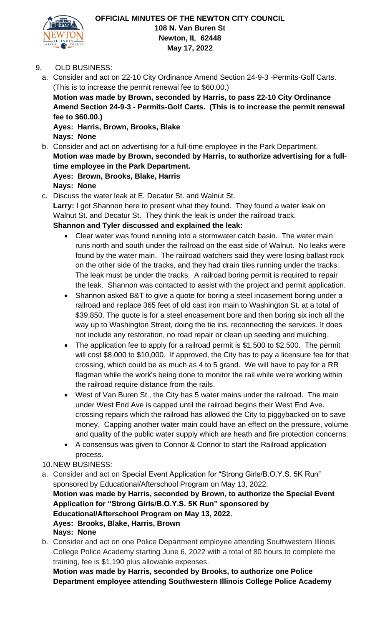

## 9. OLD BUSINESS:

a. Consider and act on 22-10 City Ordinance Amend Section 24-9-3 -Permits-Golf Carts. (This is to increase the permit renewal fee to \$60.00.)

**Motion was made by Brown, seconded by Harris, to pass 22-10 City Ordinance Amend Section 24-9-3 - Permits-Golf Carts. (This is to increase the permit renewal fee to \$60.00.)**

**Ayes: Harris, Brown, Brooks, Blake Nays: None**

b. Consider and act on advertising for a full-time employee in the Park Department. **Motion was made by Brown, seconded by Harris, to authorize advertising for a fulltime employee in the Park Department. Ayes: Brown, Brooks, Blake, Harris Nays: None**

c. Discuss the water leak at E. Decatur St. and Walnut St. **Larry:** I got Shannon here to present what they found. They found a water leak on Walnut St. and Decatur St. They think the leak is under the railroad track.

## **Shannon and Tyler discussed and explained the leak:**

- Clear water was found running into a stormwater catch basin. The water main runs north and south under the railroad on the east side of Walnut. No leaks were found by the water main. The railroad watchers said they were losing ballast rock on the other side of the tracks, and they had drain tiles running under the tracks. The leak must be under the tracks. A railroad boring permit is required to repair the leak. Shannon was contacted to assist with the project and permit application.
- Shannon asked B&T to give a quote for boring a steel incasement boring under a railroad and replace 365 feet of old cast iron main to Washington St. at a total of \$39,850. The quote is for a steel encasement bore and then boring six inch all the way up to Washington Street, doing the tie ins, reconnecting the services. It does not include any restoration, no road repair or clean up seeding and mulching.
- The application fee to apply for a railroad permit is \$1,500 to \$2,500. The permit will cost \$8,000 to \$10,000. If approved, the City has to pay a licensure fee for that crossing, which could be as much as 4 to 5 grand. We will have to pay for a RR flagman while the work's being done to monitor the rail while we're working within the railroad require distance from the rails.
- West of Van Buren St., the City has 5 water mains under the railroad. The main under West End Ave is capped until the railroad begins their West End Ave. crossing repairs which the railroad has allowed the City to piggybacked on to save money. Capping another water main could have an effect on the pressure, volume and quality of the public water supply which are heath and fire protection concerns.
- A consensus was given to Connor & Connor to start the Railroad application process.

## 10.NEW BUSINESS:

- a. Consider and act on Special Event Application for "Strong Girls/B.O.Y.S. 5K Run" sponsored by Educational/Afterschool Program on May 13, 2022. **Motion was made by Harris, seconded by Brown, to authorize the Special Event Application for "Strong Girls/B.O.Y.S. 5K Run" sponsored by Educational/Afterschool Program on May 13, 2022. Ayes: Brooks, Blake, Harris, Brown Nays: None**
- b. Consider and act on one Police Department employee attending Southwestern Illinois College Police Academy starting June 6, 2022 with a total of 80 hours to complete the training, fee is \$1,190 plus allowable expenses.

**Motion was made by Harris, seconded by Brooks, to authorize one Police Department employee attending Southwestern Illinois College Police Academy**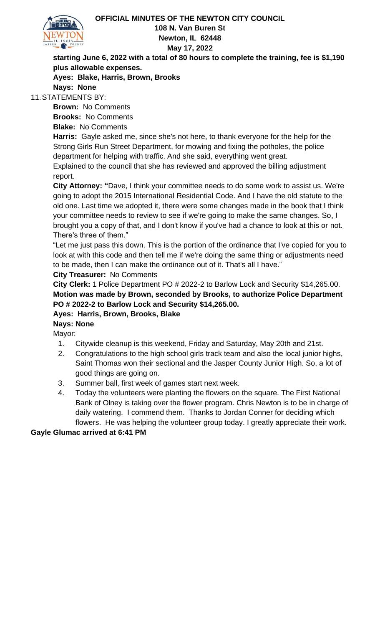#### **OFFICIAL MINUTES OF THE NEWTON CITY COUNCIL**



#### **108 N. Van Buren St Newton, IL 62448 May 17, 2022**

**starting June 6, 2022 with a total of 80 hours to complete the training, fee is \$1,190 plus allowable expenses.** 

**Ayes: Blake, Harris, Brown, Brooks**

# **Nays: None**

11.STATEMENTS BY:

**Brown:** No Comments

**Brooks:** No Comments

**Blake:** No Comments

**Harris:** Gayle asked me, since she's not here, to thank everyone for the help for the Strong Girls Run Street Department, for mowing and fixing the potholes, the police department for helping with traffic. And she said, everything went great.

Explained to the council that she has reviewed and approved the billing adjustment report.

**City Attorney: "**Dave, I think your committee needs to do some work to assist us. We're going to adopt the 2015 International Residential Code. And I have the old statute to the old one. Last time we adopted it, there were some changes made in the book that I think your committee needs to review to see if we're going to make the same changes. So, I brought you a copy of that, and I don't know if you've had a chance to look at this or not. There's three of them."

"Let me just pass this down. This is the portion of the ordinance that I've copied for you to look at with this code and then tell me if we're doing the same thing or adjustments need to be made, then I can make the ordinance out of it. That's all I have."

## **City Treasurer:** No Comments

**City Clerk:** 1 Police Department PO # 2022-2 to Barlow Lock and Security \$14,265.00. **Motion was made by Brown, seconded by Brooks, to authorize Police Department PO # 2022-2 to Barlow Lock and Security \$14,265.00.**

## **Ayes: Harris, Brown, Brooks, Blake**

**Nays: None**

Mayor:

- 1. Citywide cleanup is this weekend, Friday and Saturday, May 20th and 21st.
- 2. Congratulations to the high school girls track team and also the local junior highs, Saint Thomas won their sectional and the Jasper County Junior High. So, a lot of good things are going on.
- 3. Summer ball, first week of games start next week.
- 4. Today the volunteers were planting the flowers on the square. The First National Bank of Olney is taking over the flower program. Chris Newton is to be in charge of daily watering. I commend them. Thanks to Jordan Conner for deciding which flowers. He was helping the volunteer group today. I greatly appreciate their work.

**Gayle Glumac arrived at 6:41 PM**